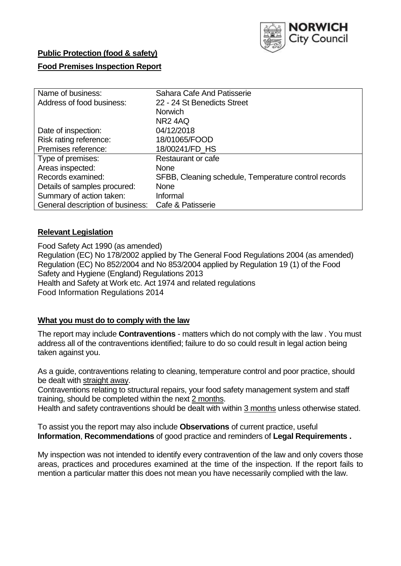

# **Public Protection (food & safety)**

## **Food Premises Inspection Report**

| Name of business:                | Sahara Cafe And Patisserie                           |  |  |  |  |  |
|----------------------------------|------------------------------------------------------|--|--|--|--|--|
| Address of food business:        | 22 - 24 St Benedicts Street                          |  |  |  |  |  |
|                                  | <b>Norwich</b>                                       |  |  |  |  |  |
|                                  | NR <sub>2</sub> 4AQ                                  |  |  |  |  |  |
| Date of inspection:              | 04/12/2018                                           |  |  |  |  |  |
| Risk rating reference:           | 18/01065/FOOD                                        |  |  |  |  |  |
| Premises reference:              | 18/00241/FD_HS                                       |  |  |  |  |  |
| Type of premises:                | Restaurant or cafe                                   |  |  |  |  |  |
| Areas inspected:                 | <b>None</b>                                          |  |  |  |  |  |
| Records examined:                | SFBB, Cleaning schedule, Temperature control records |  |  |  |  |  |
| Details of samples procured:     | <b>None</b>                                          |  |  |  |  |  |
| Summary of action taken:         | Informal                                             |  |  |  |  |  |
| General description of business: | Cafe & Patisserie                                    |  |  |  |  |  |

## **Relevant Legislation**

Food Safety Act 1990 (as amended) Regulation (EC) No 178/2002 applied by The General Food Regulations 2004 (as amended) Regulation (EC) No 852/2004 and No 853/2004 applied by Regulation 19 (1) of the Food Safety and Hygiene (England) Regulations 2013 Health and Safety at Work etc. Act 1974 and related regulations Food Information Regulations 2014

## **What you must do to comply with the law**

The report may include **Contraventions** - matters which do not comply with the law . You must address all of the contraventions identified; failure to do so could result in legal action being taken against you.

As a guide, contraventions relating to cleaning, temperature control and poor practice, should be dealt with straight away.

Contraventions relating to structural repairs, your food safety management system and staff training, should be completed within the next 2 months.

Health and safety contraventions should be dealt with within 3 months unless otherwise stated.

To assist you the report may also include **Observations** of current practice, useful **Information**, **Recommendations** of good practice and reminders of **Legal Requirements .**

My inspection was not intended to identify every contravention of the law and only covers those areas, practices and procedures examined at the time of the inspection. If the report fails to mention a particular matter this does not mean you have necessarily complied with the law.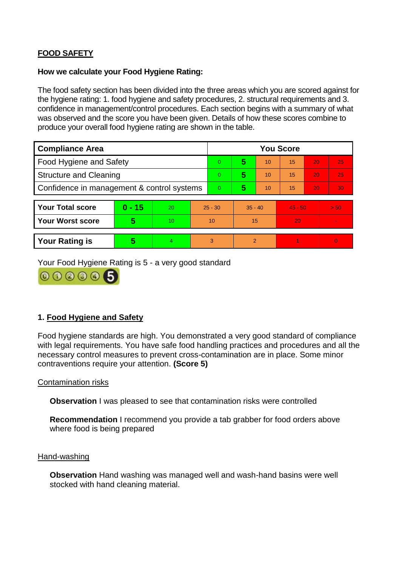# **FOOD SAFETY**

### **How we calculate your Food Hygiene Rating:**

The food safety section has been divided into the three areas which you are scored against for the hygiene rating: 1. food hygiene and safety procedures, 2. structural requirements and 3. confidence in management/control procedures. Each section begins with a summary of what was observed and the score you have been given. Details of how these scores combine to produce your overall food hygiene rating are shown in the table.

| <b>Compliance Area</b>                     |          |    |                | <b>You Score</b> |                |    |           |    |                |  |  |
|--------------------------------------------|----------|----|----------------|------------------|----------------|----|-----------|----|----------------|--|--|
| Food Hygiene and Safety                    |          |    |                | $\Omega$         | 5              | 10 | 15        | 20 | 25             |  |  |
| <b>Structure and Cleaning</b>              |          |    | $\overline{0}$ | 5                | 10             | 15 | 20        | 25 |                |  |  |
| Confidence in management & control systems |          |    | $\Omega$       | 5                | 10             | 15 | 20        | 30 |                |  |  |
|                                            |          |    |                |                  |                |    |           |    |                |  |  |
| <b>Your Total score</b>                    | $0 - 15$ | 20 | $25 - 30$      |                  | $35 - 40$      |    | $45 - 50$ |    | > 50           |  |  |
| <b>Your Worst score</b>                    | 5        | 10 | 10             |                  | 15             |    | 20        |    | $\blacksquare$ |  |  |
|                                            |          |    |                |                  |                |    |           |    |                |  |  |
| <b>Your Rating is</b>                      | 5        | 4  | 3              |                  | $\overline{2}$ |    |           |    | $\Omega$       |  |  |

Your Food Hygiene Rating is 5 - a very good standard



# **1. Food Hygiene and Safety**

Food hygiene standards are high. You demonstrated a very good standard of compliance with legal requirements. You have safe food handling practices and procedures and all the necessary control measures to prevent cross-contamination are in place. Some minor contraventions require your attention. **(Score 5)**

## Contamination risks

**Observation** I was pleased to see that contamination risks were controlled

**Recommendation** I recommend you provide a tab grabber for food orders above where food is being prepared

#### Hand-washing

**Observation** Hand washing was managed well and wash-hand basins were well stocked with hand cleaning material.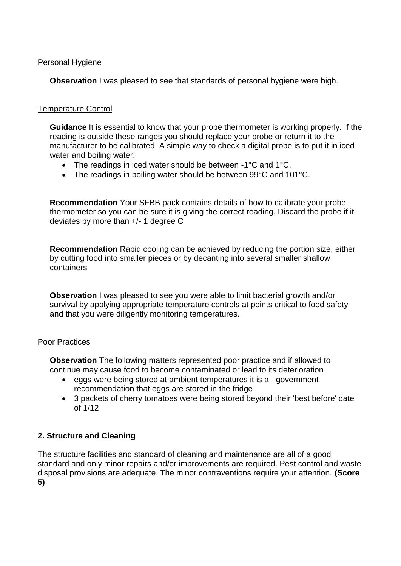## Personal Hygiene

**Observation** I was pleased to see that standards of personal hygiene were high.

## Temperature Control

**Guidance** It is essential to know that your probe thermometer is working properly. If the reading is outside these ranges you should replace your probe or return it to the manufacturer to be calibrated. A simple way to check a digital probe is to put it in iced water and boiling water:

- The readings in iced water should be between -1°C and 1°C.
- The readings in boiling water should be between 99°C and 101°C.

**Recommendation** Your SFBB pack contains details of how to calibrate your probe thermometer so you can be sure it is giving the correct reading. Discard the probe if it deviates by more than +/- 1 degree C

**Recommendation** Rapid cooling can be achieved by reducing the portion size, either by cutting food into smaller pieces or by decanting into several smaller shallow containers

**Observation** I was pleased to see you were able to limit bacterial growth and/or survival by applying appropriate temperature controls at points critical to food safety and that you were diligently monitoring temperatures.

## Poor Practices

**Observation** The following matters represented poor practice and if allowed to continue may cause food to become contaminated or lead to its deterioration

- eggs were being stored at ambient temperatures it is a government recommendation that eggs are stored in the fridge
- 3 packets of cherry tomatoes were being stored beyond their 'best before' date of 1/12

# **2. Structure and Cleaning**

The structure facilities and standard of cleaning and maintenance are all of a good standard and only minor repairs and/or improvements are required. Pest control and waste disposal provisions are adequate. The minor contraventions require your attention. **(Score 5)**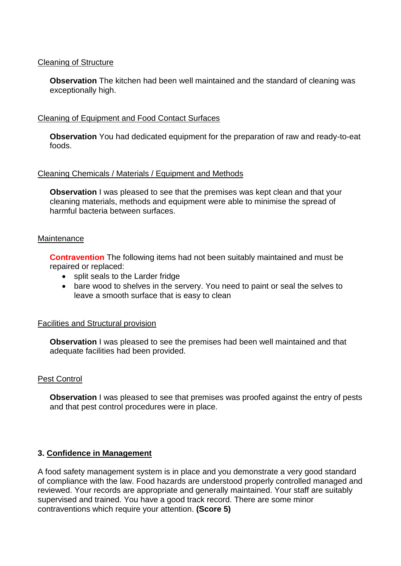## Cleaning of Structure

**Observation** The kitchen had been well maintained and the standard of cleaning was exceptionally high.

#### Cleaning of Equipment and Food Contact Surfaces

**Observation** You had dedicated equipment for the preparation of raw and ready-to-eat foods.

#### Cleaning Chemicals / Materials / Equipment and Methods

**Observation** I was pleased to see that the premises was kept clean and that your cleaning materials, methods and equipment were able to minimise the spread of harmful bacteria between surfaces.

#### **Maintenance**

**Contravention** The following items had not been suitably maintained and must be repaired or replaced:

- split seals to the Larder fridge
- bare wood to shelves in the servery. You need to paint or seal the selves to leave a smooth surface that is easy to clean

#### Facilities and Structural provision

**Observation** I was pleased to see the premises had been well maintained and that adequate facilities had been provided.

#### Pest Control

**Observation** I was pleased to see that premises was proofed against the entry of pests and that pest control procedures were in place.

## **3. Confidence in Management**

A food safety management system is in place and you demonstrate a very good standard of compliance with the law. Food hazards are understood properly controlled managed and reviewed. Your records are appropriate and generally maintained. Your staff are suitably supervised and trained. You have a good track record. There are some minor contraventions which require your attention. **(Score 5)**